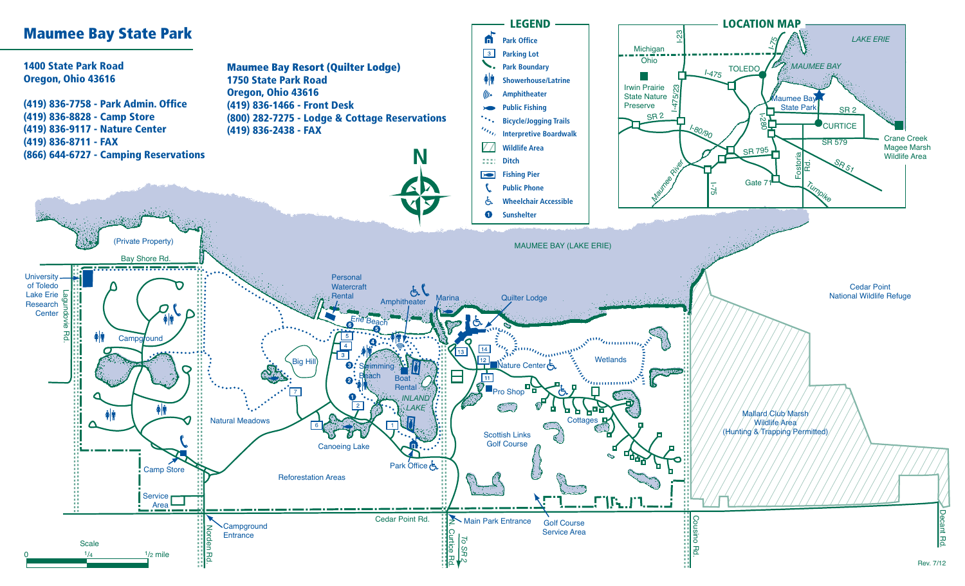